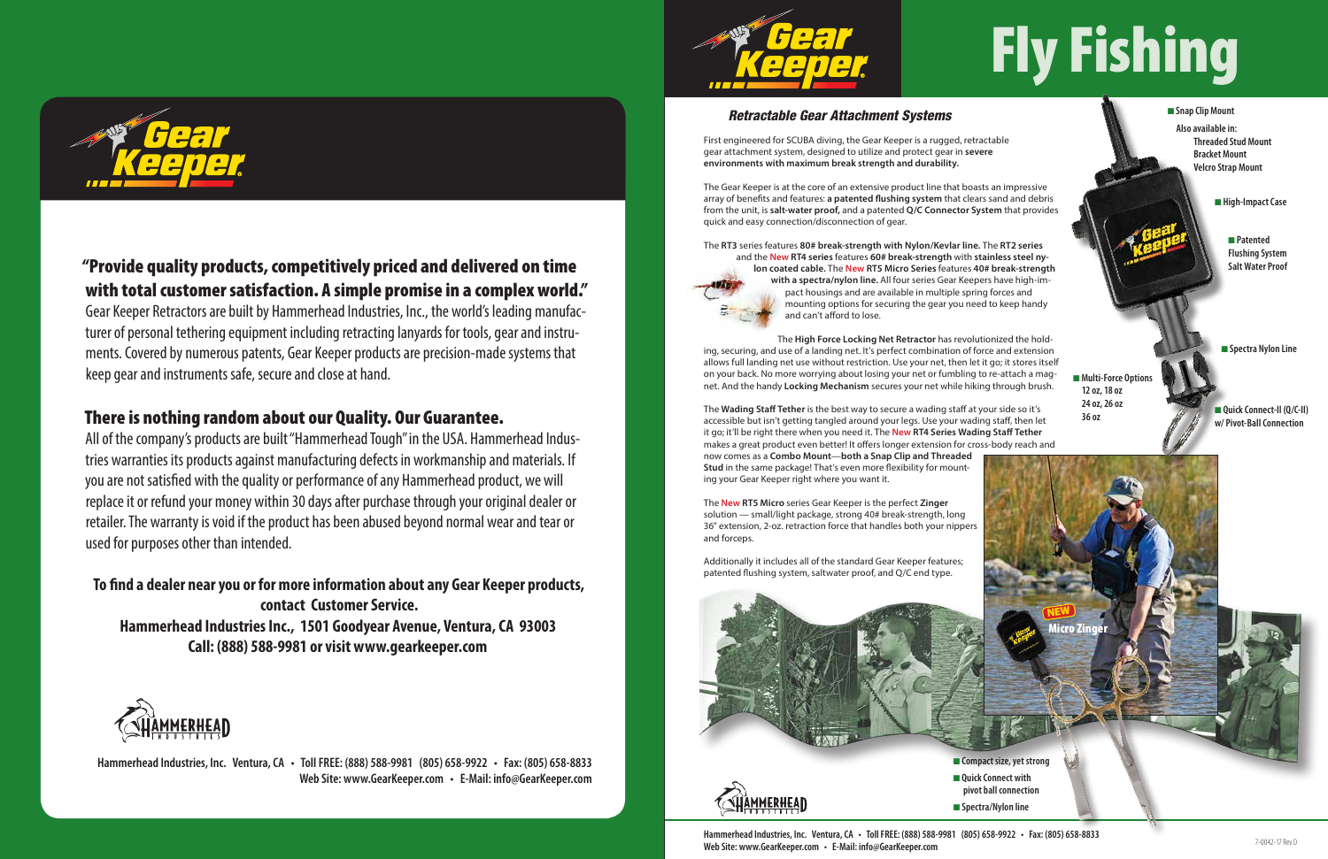

## "Provide quality products, competitively priced and delivered on time with total customer satisfaction. A simple promise in a complex world."

Gear Keeper Retractors are built by Hammerhead Industries, Inc., the world's leading manufacturer of personal tethering equipment including retracting lanyards for tools, gear and instruments. Covered by numerous patents, Gear Keeper products are precision-made systems that keep gear and instruments safe, secure and close at hand.

## There is nothing random about our Quality. Our Guarantee.

All of the company's products are built "Hammerhead Tough" in the USA. Hammerhead Industries warranties its products against manufacturing defects in workmanship and materials. If you are not satisfied with the quality or performance of any Hammerhead product, we will replace it or refund your money within 30 days after purchase through your original dealer or retailer. The warranty is void if the product has been abused beyond normal wear and tear or used for purposes other than intended.

**To find a dealer near you or for more information about any Gear Keeper products, contact Customer Service. Hammerhead Industries Inc., 1501 Goodyear Avenue, Ventura, CA 93003 Call: (888) 588-9981 or visit www.gearkeeper.com**



**Hammerhead Industries, Inc. Ventura, CA • Toll FREE: (888) 588-9981 (805) 658-9922 • Fax: (805) 658-8833 Web Site: www.GearKeeper.com • E-Mail: info@GearKeeper.com**



# Fly Fishing

### *Retractable Gear Attachment Systems*

First engineered for SCUBA diving, the Gear Keeper is a rugged, retractable gear attachment system, designed to utilize and protect gear in **severe environments with maximum break strength and durability.**

The Gear Keeper is at the core of an extensive product line that boasts an impressive array of benefits and features: **a patented flushing system** that clears sand and debris from the unit, is **salt-water proof,** and a patented **Q/C Connector System** that provides quick and easy connection/disconnection of gear.

> **n** Multi-Force Options **12 oz, 18 oz 24 oz, 26 oz**

**n** Spectra Nylon Line

 $\frac{2462}{2002}$  **a** Quick Connect-II (Q/C-II) **w/ Pivot-Ball Connection**

**n** Compact size, yet strong **n** Quick Connect with **pivot ball connection** ■ Spectra/Nylon line

**n** Snap Clip Mount  **Also available in: Threaded Stud Mount Bracket Mount Velcro Strap Mount**

**n** High-Impact Case

The **RT3** series features **80# break-strength with Nylon/Kevlar line.** The **RT2 series**



and the **New RT4 series** features **60# break-strength** with **stainless steel ny-**

**lon coated cable.** The **New RT5 Micro Series** features **40# break-strength with a spectra/nylon line.** All four series Gear Keepers have high-impact housings and are available in multiple spring forces and mounting options for securing the gear you need to keep handy and can't afford to lose.

#### The **High Force Locking Net Retractor** has revolutionized the holding, securing, and use of a landing net. It's perfect combination of force and extension allows full landing net use without restriction. Use your net, then let it go; it stores itself on your back. No more worrying about losing your net or fumbling to re-attach a mag-

net. And the handy **Locking Mechanism** secures your net while hiking through brush.

The **Wading Staff Tether** is the best way to secure a wading staff at your side so it's accessible but isn't getting tangled around your legs. Use your wading staff, then let it go; it'll be right there when you need it. The **New RT4 Series Wading Staff Tether** makes a great product even better! It offers longer extension for cross-body reach and now comes as a **Combo Mount**—**both a Snap Clip and Threaded Stud** in the same package! That's even more flexibility for mounting your Gear Keeper right where you want it.

The **New RT5 Micro** series Gear Keeper is the perfect **Zinger** solution — small/light package, strong 40# break-strength, long 36" extension, 2-oz. retraction force that handles both your nippers and forceps.

Additionally it includes all of the standard Gear Keeper features; patented flushing system, saltwater proof, and Q/C end type.



n **Patented Flushing System Salt Water Proof**

**Hammerhead Industries, Inc. Ventura, CA • Toll FREE: (888) 588-9981 (805) 658-9922 • Fax: (805) 658-8833 Web Site: www.GearKeeper.com • E-Mail: info@GearKeeper.com**

NEW

Micro Zinger